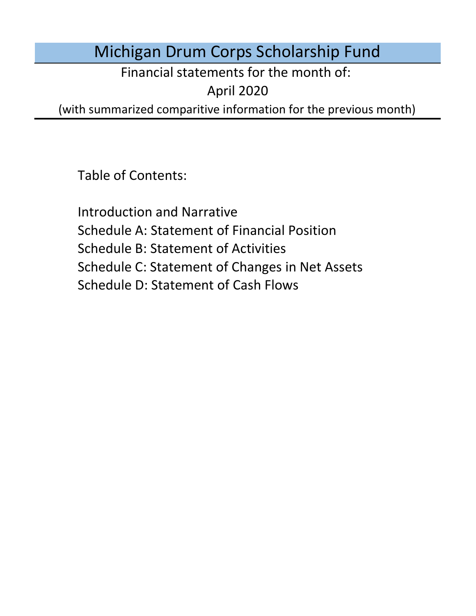# Michigan Drum Corps Scholarship Fund

Financial statements for the month of:

April 2020

(with summarized comparitive information for the previous month)

Table of Contents:

Schedule D: Statement of Cash Flows Introduction and Narrative Schedule A: Statement of Financial Position Schedule B: Statement of Activities Schedule C: Statement of Changes in Net Assets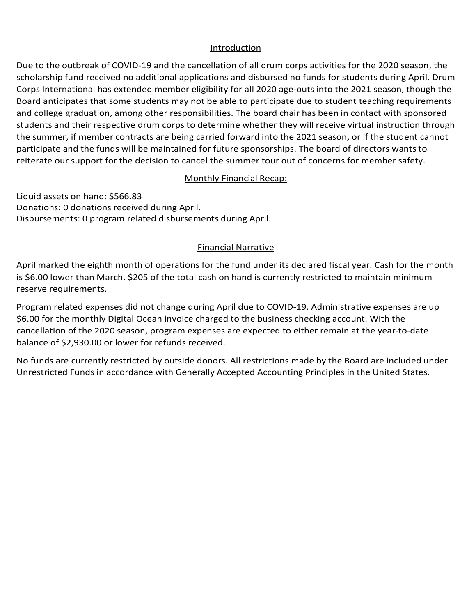#### Introduction

Introduction<br>Due to the outbreak of COVID-19 and the cancellation of all drum corps activities for the 2020 season, the scholarship fund received no additional applications and disbursed no funds for students during April. Drum Corps International has extended member eligibility for all 2020 age-outs into the 2021 season, though the Board anticipates that some students may not be able to participate due to student teaching requirements and conege graduation, among other responsibilities. The board chair has been in contact with sponsored<br>students and their respective drum corps to determine whether they will receive virtual instruction through the summer, if member contracts are being carried forward into the 2021 season, or if the student cannot<br>participate and the funds will be maintained for future sponsorships. The board of directors wants to and sammer, if member contracts are being carried for ward life the 2021 season, or if the stadent cannot reiterate our support for the decision to cancel the summer tour out of concerns for member safety. and college graduation, among other responsibilities. The board chair has been in contact with sponsored

#### Donations: 3 donations received during March. **Monthly Financial Recap:** 3 program relations during March. 2013. In all all examples the March 2013. The March 2013 and March 2013. The March 2013 and March 2013. The March 2013 and 2013. The March 2013 and 2013. The Mar

Liquid assets on hand: \$566.83<br>Donations: 0 donations received during April. Donations: 0 donations received during Aprii.<br>Disbursements: 0 program related disbursements during April. Liquid assets on hand: \$566.83 Disbursements: 0 program related disbursements during April.

#### Program relation during January. Administrative expenses are up \$6.000 for the the top the the top the top the the top the top the top the top top the top the top top the top top the top top the top top the top top top the  $m = 2058.20$ minimum reserve requirements. The contract of the contract of the contract of the contract of the contract of the contract of the contract of the contract of the contract of the contract of the contract of the contract of

April marked the eighth month of operations for the fund under its declared fiscal year. Cash for the month  $t_{\rm F}$  for an Islam measurement of the recommended distribution in the three applications received to the three applications received to the three applications received to the three applications received to the three ap  $\frac{1}{2}$ Programments are eigener month of operations for the fund under its declared fiscal year. Cash for the month reserve requirements. All restricted by outside donors. All restrictions made by the Board are included under  $\mathcal{L}$ is \$6.00 lower than March. \$205 of the total cash on hand is currently restricted to maintain minimum<br>reserve resultancents With the cancellation of the 2020 season, program experience are experienced to either remain at the year-to--

Program related expenses did not change during April due to COVID-19. Administrative expenses are up Togram related expenses ald not enarge daring April due to covibility. Administrative expenses are up<br>\$6.00 for the monthly Digital Ocean invoice charged to the business checking account. With the PO.00 for the monthly Digital Ocean invoice charged to the business checking account. With the procedure of the Board are included under the Board are included under the Board are included under the Board are included unde cancellation of the 2020 season, program expenses are expected to either remain at the year-to-date<br>halance of 62,020,00 or lawer for refunds reseived. balance of \$2,930.00 or lower for refunds received.

No funds are currently restricted by outside donors. All restrictions made by the Board are included under Unrestricted Funds in accordance with Generally Accepted Accounting Principles in the United States.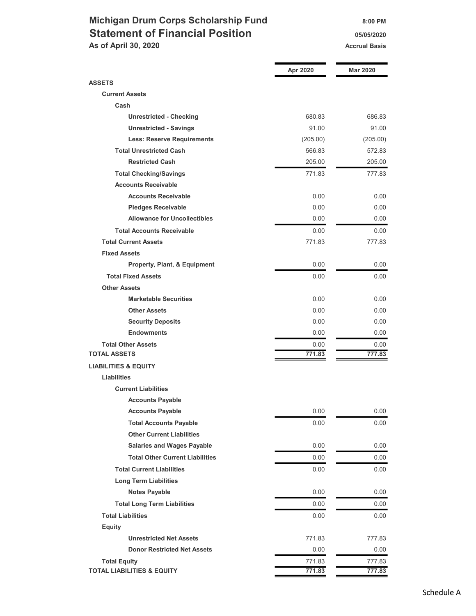### Michigan Drum Corps Scholarship Fund 8:00 PM Statement of Financial Position **1988** 05/05/2020 As of April 30, 2020 Accrual Basis Accrual Basis

|                                        | Apr 2020 | <b>Mar 2020</b> |
|----------------------------------------|----------|-----------------|
| <b>ASSETS</b>                          |          |                 |
| <b>Current Assets</b>                  |          |                 |
| Cash                                   |          |                 |
| <b>Unrestricted - Checking</b>         | 680.83   | 686.83          |
| <b>Unrestricted - Savings</b>          | 91.00    | 91.00           |
| <b>Less: Reserve Requirements</b>      | (205.00) | (205.00)        |
| <b>Total Unrestricted Cash</b>         | 566.83   | 572.83          |
| <b>Restricted Cash</b>                 | 205.00   | 205.00          |
| <b>Total Checking/Savings</b>          | 771.83   | 777.83          |
| <b>Accounts Receivable</b>             |          |                 |
| <b>Accounts Receivable</b>             | 0.00     | 0.00            |
| <b>Pledges Receivable</b>              | 0.00     | 0.00            |
| <b>Allowance for Uncollectibles</b>    | 0.00     | 0.00            |
| <b>Total Accounts Receivable</b>       | 0.00     | 0.00            |
| <b>Total Current Assets</b>            | 771.83   | 777.83          |
| <b>Fixed Assets</b>                    |          |                 |
| Property, Plant, & Equipment           | 0.00     | 0.00            |
| <b>Total Fixed Assets</b>              | 0.00     | 0.00            |
| <b>Other Assets</b>                    |          |                 |
| <b>Marketable Securities</b>           | 0.00     | 0.00            |
| <b>Other Assets</b>                    | 0.00     | 0.00            |
| <b>Security Deposits</b>               | 0.00     | 0.00            |
| <b>Endowments</b>                      | 0.00     | 0.00            |
| <b>Total Other Assets</b>              | 0.00     | 0.00            |
| <b>TOTAL ASSETS</b>                    | 771.83   | 777.83          |
| <b>LIABILITIES &amp; EQUITY</b>        |          |                 |
| <b>Liabilities</b>                     |          |                 |
| <b>Current Liabilities</b>             |          |                 |
| <b>Accounts Payable</b>                |          |                 |
| <b>Accounts Payable</b>                | 0.00     | 0.00            |
| <b>Total Accounts Payable</b>          | 0.00     | 0.00            |
| <b>Other Current Liabilities</b>       |          |                 |
| <b>Salaries and Wages Payable</b>      | 0.00     | 0.00            |
| <b>Total Other Current Liabilities</b> | 0.00     | 0.00            |
| <b>Total Current Liabilities</b>       | 0.00     | 0.00            |
| <b>Long Term Liabilities</b>           |          |                 |
| <b>Notes Payable</b>                   | 0.00     | 0.00            |
| <b>Total Long Term Liabilities</b>     | 0.00     | 0.00            |
| <b>Total Liabilities</b>               | 0.00     | 0.00            |
| <b>Equity</b>                          |          |                 |
| <b>Unrestricted Net Assets</b>         | 771.83   | 777.83          |
| <b>Donor Restricted Net Assets</b>     | 0.00     | 0.00            |
| <b>Total Equity</b>                    | 771.83   | 777.83          |
| <b>TOTAL LIABILITIES &amp; EQUITY</b>  | 771.83   | 777.83          |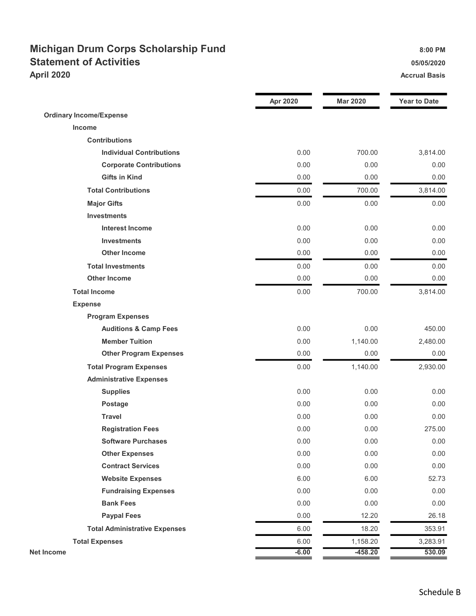### Michigan Drum Corps Scholarship Fund 8:00 PM Statement of Activities **Statement of Activities 15/05/2020** April 2020 Accrual Basis Accrual Basis Accrual Basis Accrual Basis Accrual Basis

|                                      | <b>Apr 2020</b> | <b>Mar 2020</b> | <b>Year to Date</b> |
|--------------------------------------|-----------------|-----------------|---------------------|
| <b>Ordinary Income/Expense</b>       |                 |                 |                     |
| Income                               |                 |                 |                     |
| <b>Contributions</b>                 |                 |                 |                     |
| <b>Individual Contributions</b>      | 0.00            | 700.00          | 3,814.00            |
| <b>Corporate Contributions</b>       | 0.00            | 0.00            | 0.00                |
| <b>Gifts in Kind</b>                 | 0.00            | 0.00            | 0.00                |
| <b>Total Contributions</b>           | 0.00            | 700.00          | 3,814.00            |
| <b>Major Gifts</b>                   | 0.00            | 0.00            | 0.00                |
| <b>Investments</b>                   |                 |                 |                     |
| <b>Interest Income</b>               | 0.00            | 0.00            | 0.00                |
| <b>Investments</b>                   | 0.00            | 0.00            | 0.00                |
| <b>Other Income</b>                  | 0.00            | 0.00            | 0.00                |
| <b>Total Investments</b>             | 0.00            | 0.00            | 0.00                |
| <b>Other Income</b>                  | 0.00            | 0.00            | 0.00                |
| <b>Total Income</b>                  | 0.00            | 700.00          | 3,814.00            |
| <b>Expense</b>                       |                 |                 |                     |
| <b>Program Expenses</b>              |                 |                 |                     |
| <b>Auditions &amp; Camp Fees</b>     | 0.00            | 0.00            | 450.00              |
| <b>Member Tuition</b>                | 0.00            | 1,140.00        | 2,480.00            |
| <b>Other Program Expenses</b>        | 0.00            | 0.00            | 0.00                |
| <b>Total Program Expenses</b>        | 0.00            | 1,140.00        | 2,930.00            |
| <b>Administrative Expenses</b>       |                 |                 |                     |
| <b>Supplies</b>                      | 0.00            | 0.00            | 0.00                |
| Postage                              | 0.00            | 0.00            | 0.00                |
| <b>Travel</b>                        | 0.00            | 0.00            | 0.00                |
| <b>Registration Fees</b>             | 0.00            | 0.00            | 275.00              |
| <b>Software Purchases</b>            | 0.00            | 0.00            | 0.00                |
| <b>Other Expenses</b>                | 0.00            | 0.00            | 0.00                |
| <b>Contract Services</b>             | 0.00            | 0.00            | 0.00                |
| <b>Website Expenses</b>              | 6.00            | 6.00            | 52.73               |
| <b>Fundraising Expenses</b>          | 0.00            | 0.00            | 0.00                |
| <b>Bank Fees</b>                     | 0.00            | 0.00            | 0.00                |
| <b>Paypal Fees</b>                   | 0.00            | 12.20           | 26.18               |
| <b>Total Administrative Expenses</b> | 6.00            | 18.20           | 353.91              |
| <b>Total Expenses</b>                | 6.00            | 1,158.20        | 3,283.91            |
| <b>Net Income</b>                    | $-6.00$         | $-458.20$       | 530.09              |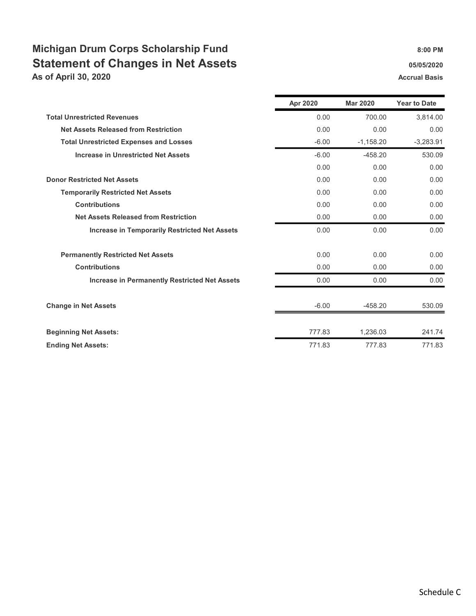## Michigan Drum Corps Scholarship Fund 8:00 PM Statement of Changes in Net Assets **65/05/2020** 05/05/2020

As of April 30, 2020 Accrual Basis Accrual Basis

|                                                      | Apr 2020 | <b>Mar 2020</b> | <b>Year to Date</b> |
|------------------------------------------------------|----------|-----------------|---------------------|
| <b>Total Unrestricted Revenues</b>                   | 0.00     | 700.00          | 3,814.00            |
| <b>Net Assets Released from Restriction</b>          | 0.00     | 0.00            | 0.00                |
| <b>Total Unrestricted Expenses and Losses</b>        | $-6.00$  | $-1,158.20$     | $-3,283.91$         |
| <b>Increase in Unrestricted Net Assets</b>           | $-6.00$  | $-458.20$       | 530.09              |
|                                                      | 0.00     | 0.00            | 0.00                |
| <b>Donor Restricted Net Assets</b>                   | 0.00     | 0.00            | 0.00                |
| <b>Temporarily Restricted Net Assets</b>             | 0.00     | 0.00            | 0.00                |
| <b>Contributions</b>                                 | 0.00     | 0.00            | 0.00                |
| <b>Net Assets Released from Restriction</b>          | 0.00     | 0.00            | 0.00                |
| <b>Increase in Temporarily Restricted Net Assets</b> | 0.00     | 0.00            | 0.00                |
| <b>Permanently Restricted Net Assets</b>             | 0.00     | 0.00            | 0.00                |
| <b>Contributions</b>                                 | 0.00     | 0.00            | 0.00                |
| <b>Increase in Permanently Restricted Net Assets</b> | 0.00     | 0.00            | 0.00                |
| <b>Change in Net Assets</b>                          | $-6.00$  | $-458.20$       | 530.09              |
| <b>Beginning Net Assets:</b>                         | 777.83   | 1,236.03        | 241.74              |
| <b>Ending Net Assets:</b>                            | 771.83   | 777.83          | 771.83              |